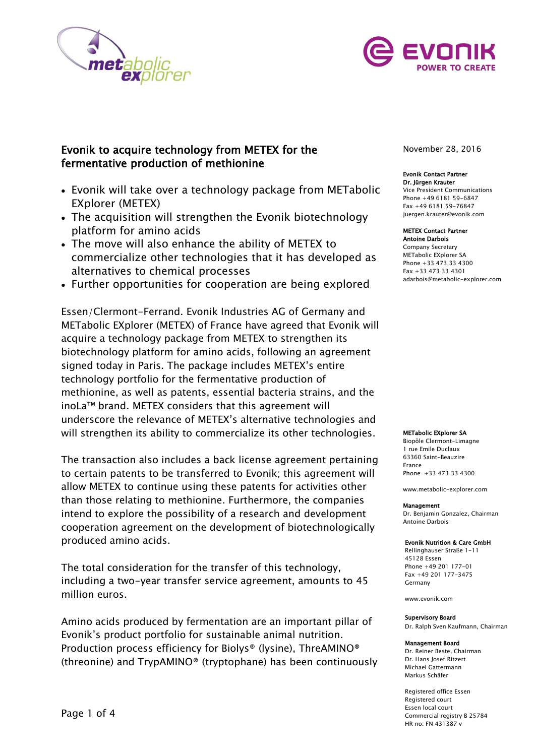



# Evonik to acquire technology from METEX for the fermentative production of methionine

- Evonik will take over a technology package from METabolic EXplorer (METEX)
- The acquisition will strengthen the Evonik biotechnology platform for amino acids
- The move will also enhance the ability of METEX to commercialize other technologies that it has developed as alternatives to chemical processes
- Further opportunities for cooperation are being explored

Essen/Clermont-Ferrand. Evonik Industries AG of Germany and METabolic EXplorer (METEX) of France have agreed that Evonik will acquire a technology package from METEX to strengthen its biotechnology platform for amino acids, following an agreement signed today in Paris. The package includes METEX's entire technology portfolio for the fermentative production of methionine, as well as patents, essential bacteria strains, and the inoLa™ brand. METEX considers that this agreement will underscore the relevance of METEX's alternative technologies and will strengthen its ability to commercialize its other technologies.

The transaction also includes a back license agreement pertaining to certain patents to be transferred to Evonik; this agreement will allow METEX to continue using these patents for activities other than those relating to methionine. Furthermore, the companies intend to explore the possibility of a research and development cooperation agreement on the development of biotechnologically produced amino acids.

The total consideration for the transfer of this technology, including a two-year transfer service agreement, amounts to 45 million euros.

Amino acids produced by fermentation are an important pillar of Evonik's product portfolio for sustainable animal nutrition. Production process efficiency for Biolys® (lysine), ThreAMINO® (threonine) and TrypAMINO® (tryptophane) has been continuously November 28, 2016

### Evonik Contact Partner Dr. Jürgen Krauter Vice President Communications

Phone +49 6181 59-6847 Fax +49 6181 59-76847 [juergen.krauter@evonik.com](mailto:juergen.krauter@evonik.com)

#### METEX Contact Partner Antoine Darbois

Company Secretary METabolic EXplorer SA Phone +33 473 33 4300 Fax +33 473 33 4301 [adarbois@metabolic-explorer.com](mailto:adarbois@metabolic-explorer.com)

### METabolic EXplorer SA

Biopôle Clermont-Limagne 1 rue Emile Duclaux 63360 Saint-Beauzire France Phone +33 473 33 4300

www.metabolic-explorer.com

## Management

Dr. Benjamin Gonzalez, Chairman Antoine Darbois

### Evonik Nutrition & Care GmbH

Rellinghauser Straße 1-11 45128 Essen Phone +49 201 177-01 Fax +49 201 177-3475 Germany

www.evonik.com

#### Supervisory Board

Dr. Ralph Sven Kaufmann, Chairman

#### Management Board

Dr. Reiner Beste, Chairman Dr. Hans Josef Ritzert Michael Gattermann Markus Schäfer

Registered office Essen Registered court Essen local court Commercial registry B 25784 HR no. FN 431387 v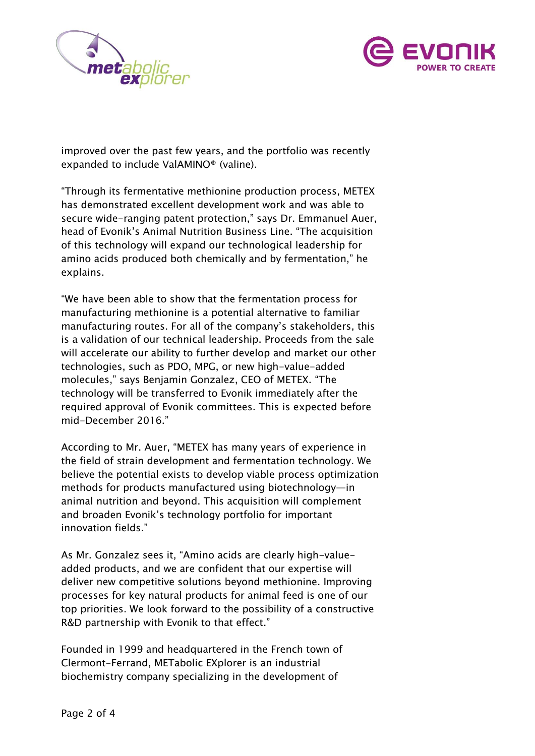



improved over the past few years, and the portfolio was recently expanded to include ValAMINO® (valine).

"Through its fermentative methionine production process, METEX has demonstrated excellent development work and was able to secure wide-ranging patent protection," says Dr. Emmanuel Auer, head of Evonik's Animal Nutrition Business Line. "The acquisition of this technology will expand our technological leadership for amino acids produced both chemically and by fermentation," he explains.

"We have been able to show that the fermentation process for manufacturing methionine is a potential alternative to familiar manufacturing routes. For all of the company's stakeholders, this is a validation of our technical leadership. Proceeds from the sale will accelerate our ability to further develop and market our other technologies, such as PDO, MPG, or new high-value-added molecules," says Benjamin Gonzalez, CEO of METEX. "The technology will be transferred to Evonik immediately after the required approval of Evonik committees. This is expected before mid-December 2016."

According to Mr. Auer, "METEX has many years of experience in the field of strain development and fermentation technology. We believe the potential exists to develop viable process optimization methods for products manufactured using biotechnology—in animal nutrition and beyond. This acquisition will complement and broaden Evonik's technology portfolio for important innovation fields."

As Mr. Gonzalez sees it, "Amino acids are clearly high-valueadded products, and we are confident that our expertise will deliver new competitive solutions beyond methionine. Improving processes for key natural products for animal feed is one of our top priorities. We look forward to the possibility of a constructive R&D partnership with Evonik to that effect."

Founded in 1999 and headquartered in the French town of Clermont-Ferrand, METabolic EXplorer is an industrial biochemistry company specializing in the development of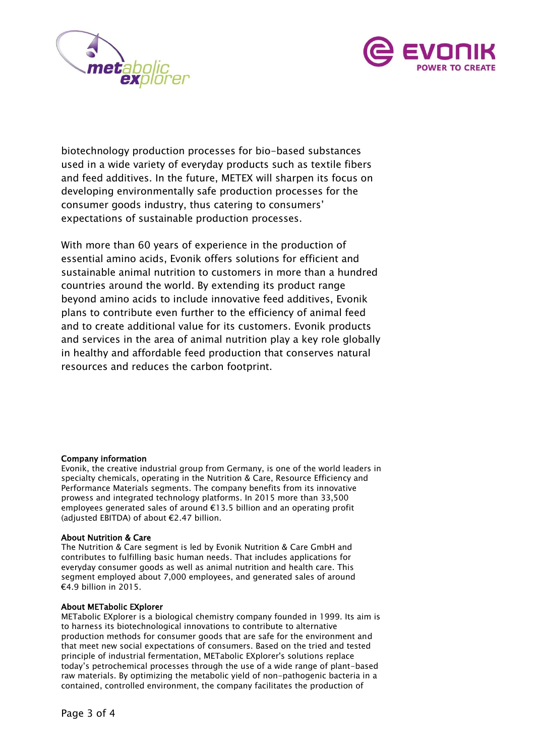



biotechnology production processes for bio-based substances used in a wide variety of everyday products such as textile fibers and feed additives. In the future, METEX will sharpen its focus on developing environmentally safe production processes for the consumer goods industry, thus catering to consumers' expectations of sustainable production processes.

With more than 60 years of experience in the production of essential amino acids, Evonik offers solutions for efficient and sustainable animal nutrition to customers in more than a hundred countries around the world. By extending its product range beyond amino acids to include innovative feed additives, Evonik plans to contribute even further to the efficiency of animal feed and to create additional value for its customers. Evonik products and services in the area of animal nutrition play a key role globally in healthy and affordable feed production that conserves natural resources and reduces the carbon footprint.

# Company information

Evonik, the creative industrial group from Germany, is one of the world leaders in specialty chemicals, operating in the Nutrition & Care, Resource Efficiency and Performance Materials segments. The company benefits from its innovative prowess and integrated technology platforms. In 2015 more than 33,500 employees generated sales of around €13.5 billion and an operating profit (adjusted EBITDA) of about €2.47 billion.

# About Nutrition & Care

The Nutrition & Care segment is led by Evonik Nutrition & Care GmbH and contributes to fulfilling basic human needs. That includes applications for everyday consumer goods as well as animal nutrition and health care. This segment employed about 7,000 employees, and generated sales of around €4.9 billion in 2015.

# About METabolic EXplorer

METabolic EXplorer is a biological chemistry company founded in 1999. Its aim is to harness its biotechnological innovations to contribute to alternative production methods for consumer goods that are safe for the environment and that meet new social expectations of consumers. Based on the tried and tested principle of industrial fermentation, METabolic EXplorer's solutions replace today's petrochemical processes through the use of a wide range of plant-based raw materials. By optimizing the metabolic yield of non-pathogenic bacteria in a contained, controlled environment, the company facilitates the production of